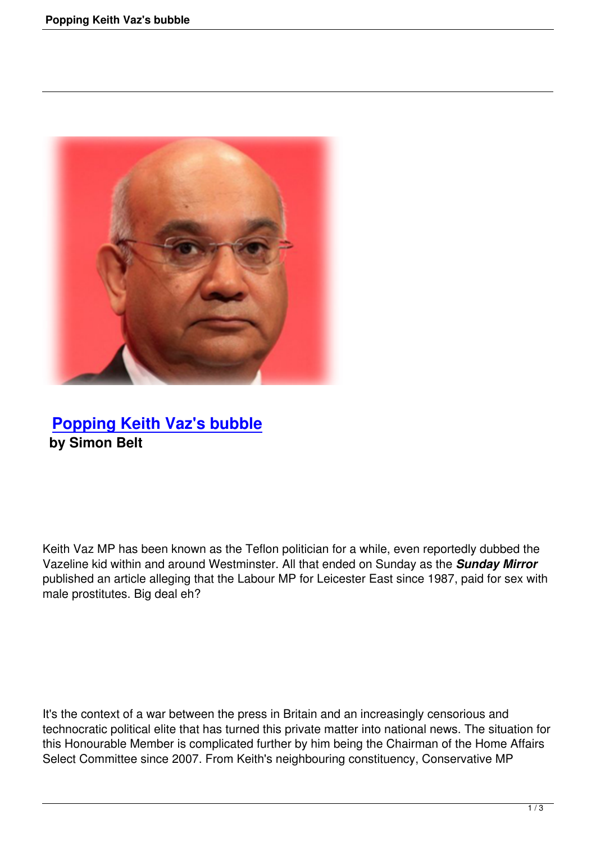

## **Popping Keith Vaz's bubble by Simon Belt**

Keith Vaz MP has been known as the Teflon politician for a while, even reportedly dubbed the Vazeline kid within and around Westminster. All that ended on Sunday as the *Sunday Mirror* published an article alleging that the Labour MP for Leicester East since 1987, paid for sex with male prostitutes. Big deal eh?

It's the context of a war between the press in Britain and an increasingly censorious and technocratic political elite that has turned this private matter into national news. The situation for this Honourable Member is complicated further by him being the Chairman of the Home Affairs Select Committee since 2007. From Keith's neighbouring constituency, Conservative MP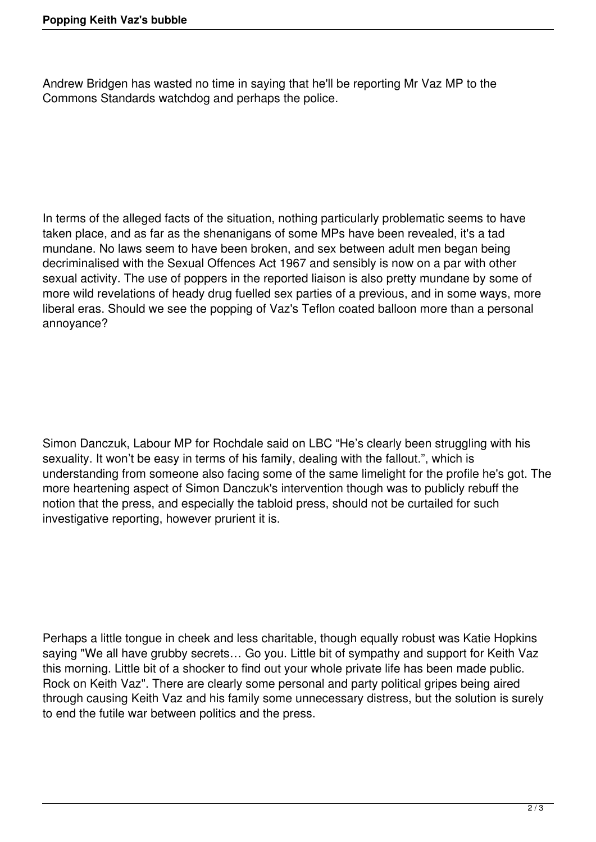Andrew Bridgen has wasted no time in saying that he'll be reporting Mr Vaz MP to the Commons Standards watchdog and perhaps the police.

In terms of the alleged facts of the situation, nothing particularly problematic seems to have taken place, and as far as the shenanigans of some MPs have been revealed, it's a tad mundane. No laws seem to have been broken, and sex between adult men began being decriminalised with the Sexual Offences Act 1967 and sensibly is now on a par with other sexual activity. The use of poppers in the reported liaison is also pretty mundane by some of more wild revelations of heady drug fuelled sex parties of a previous, and in some ways, more liberal eras. Should we see the popping of Vaz's Teflon coated balloon more than a personal annoyance?

Simon Danczuk, Labour MP for Rochdale said on LBC "He's clearly been struggling with his sexuality. It won't be easy in terms of his family, dealing with the fallout.", which is understanding from someone also facing some of the same limelight for the profile he's got. The more heartening aspect of Simon Danczuk's intervention though was to publicly rebuff the notion that the press, and especially the tabloid press, should not be curtailed for such investigative reporting, however prurient it is.

Perhaps a little tongue in cheek and less charitable, though equally robust was Katie Hopkins saying "We all have grubby secrets… Go you. Little bit of sympathy and support for Keith Vaz this morning. Little bit of a shocker to find out your whole private life has been made public. Rock on Keith Vaz". There are clearly some personal and party political gripes being aired through causing Keith Vaz and his family some unnecessary distress, but the solution is surely to end the futile war between politics and the press.